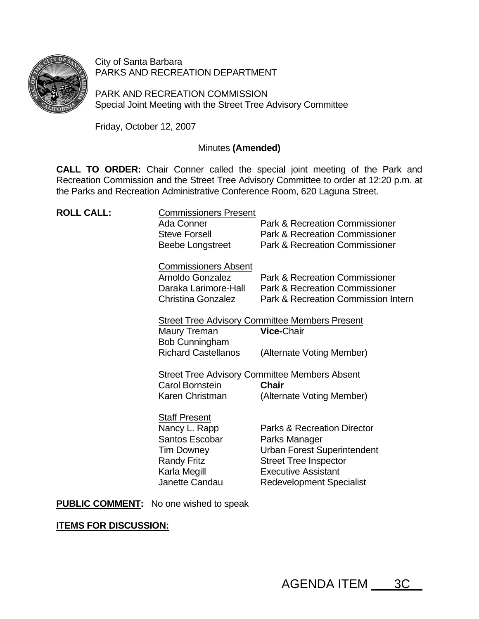

City of Santa Barbara PARKS AND RECREATION DEPARTMENT

PARK AND RECREATION COMMISSION Special Joint Meeting with the Street Tree Advisory Committee

Friday, October 12, 2007

# Minutes **(Amended)**

**CALL TO ORDER:** Chair Conner called the special joint meeting of the Park and Recreation Commission and the Street Tree Advisory Committee to order at 12:20 p.m. at the Parks and Recreation Administrative Conference Room, 620 Laguna Street.

| <b>ROLL CALL:</b> | <b>Commissioners Present</b><br>Ada Conner<br><b>Steve Forsell</b><br><b>Beebe Longstreet</b>                                               | <b>Park &amp; Recreation Commissioner</b><br><b>Park &amp; Recreation Commissioner</b><br><b>Park &amp; Recreation Commissioner</b>                                                            |
|-------------------|---------------------------------------------------------------------------------------------------------------------------------------------|------------------------------------------------------------------------------------------------------------------------------------------------------------------------------------------------|
|                   | <b>Commissioners Absent</b><br>Arnoldo Gonzalez<br>Daraka Larimore-Hall<br>Christina Gonzalez                                               | Park & Recreation Commissioner<br><b>Park &amp; Recreation Commissioner</b><br>Park & Recreation Commission Intern                                                                             |
|                   | <b>Street Tree Advisory Committee Members Present</b>                                                                                       |                                                                                                                                                                                                |
|                   | Maury Treman<br><b>Bob Cunningham</b>                                                                                                       | <b>Vice-Chair</b>                                                                                                                                                                              |
|                   | <b>Richard Castellanos</b>                                                                                                                  | (Alternate Voting Member)                                                                                                                                                                      |
|                   | <b>Street Tree Advisory Committee Members Absent</b>                                                                                        |                                                                                                                                                                                                |
|                   | Carol Bornstein                                                                                                                             | <b>Chair</b>                                                                                                                                                                                   |
|                   | Karen Christman                                                                                                                             | (Alternate Voting Member)                                                                                                                                                                      |
|                   | <b>Staff Present</b><br>Nancy L. Rapp<br><b>Santos Escobar</b><br><b>Tim Downey</b><br><b>Randy Fritz</b><br>Karla Megill<br>Janette Candau | <b>Parks &amp; Recreation Director</b><br>Parks Manager<br><b>Urban Forest Superintendent</b><br><b>Street Tree Inspector</b><br><b>Executive Assistant</b><br><b>Redevelopment Specialist</b> |

**PUBLIC COMMENT:** No one wished to speak

**ITEMS FOR DISCUSSION:**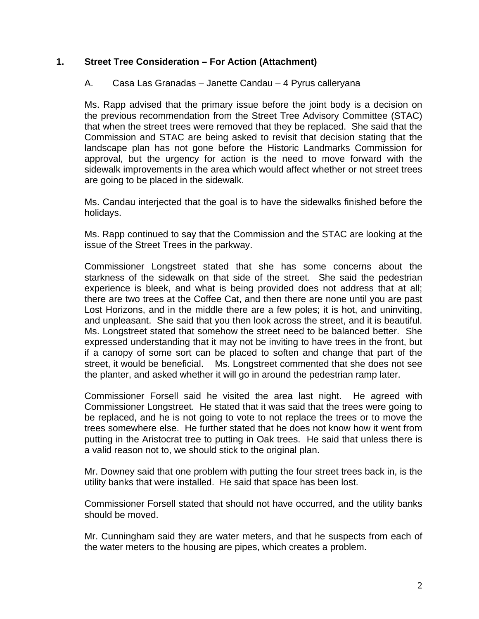# **1. Street Tree Consideration – For Action (Attachment)**

# A. Casa Las Granadas – Janette Candau – 4 Pyrus calleryana

Ms. Rapp advised that the primary issue before the joint body is a decision on the previous recommendation from the Street Tree Advisory Committee (STAC) that when the street trees were removed that they be replaced. She said that the Commission and STAC are being asked to revisit that decision stating that the landscape plan has not gone before the Historic Landmarks Commission for approval, but the urgency for action is the need to move forward with the sidewalk improvements in the area which would affect whether or not street trees are going to be placed in the sidewalk.

Ms. Candau interjected that the goal is to have the sidewalks finished before the holidays.

Ms. Rapp continued to say that the Commission and the STAC are looking at the issue of the Street Trees in the parkway.

Commissioner Longstreet stated that she has some concerns about the starkness of the sidewalk on that side of the street. She said the pedestrian experience is bleek, and what is being provided does not address that at all; there are two trees at the Coffee Cat, and then there are none until you are past Lost Horizons, and in the middle there are a few poles; it is hot, and uninviting, and unpleasant. She said that you then look across the street, and it is beautiful. Ms. Longstreet stated that somehow the street need to be balanced better. She expressed understanding that it may not be inviting to have trees in the front, but if a canopy of some sort can be placed to soften and change that part of the street, it would be beneficial. Ms. Longstreet commented that she does not see the planter, and asked whether it will go in around the pedestrian ramp later.

Commissioner Forsell said he visited the area last night. He agreed with Commissioner Longstreet. He stated that it was said that the trees were going to be replaced, and he is not going to vote to not replace the trees or to move the trees somewhere else. He further stated that he does not know how it went from putting in the Aristocrat tree to putting in Oak trees. He said that unless there is a valid reason not to, we should stick to the original plan.

Mr. Downey said that one problem with putting the four street trees back in, is the utility banks that were installed. He said that space has been lost.

Commissioner Forsell stated that should not have occurred, and the utility banks should be moved.

Mr. Cunningham said they are water meters, and that he suspects from each of the water meters to the housing are pipes, which creates a problem.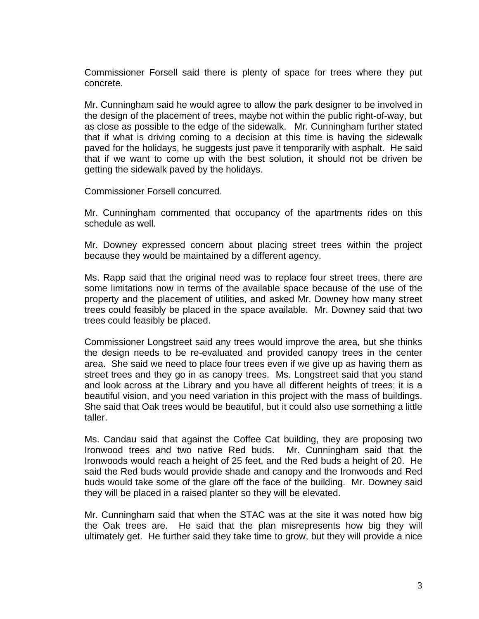Commissioner Forsell said there is plenty of space for trees where they put concrete.

Mr. Cunningham said he would agree to allow the park designer to be involved in the design of the placement of trees, maybe not within the public right-of-way, but as close as possible to the edge of the sidewalk. Mr. Cunningham further stated that if what is driving coming to a decision at this time is having the sidewalk paved for the holidays, he suggests just pave it temporarily with asphalt. He said that if we want to come up with the best solution, it should not be driven be getting the sidewalk paved by the holidays.

Commissioner Forsell concurred.

Mr. Cunningham commented that occupancy of the apartments rides on this schedule as well.

Mr. Downey expressed concern about placing street trees within the project because they would be maintained by a different agency.

Ms. Rapp said that the original need was to replace four street trees, there are some limitations now in terms of the available space because of the use of the property and the placement of utilities, and asked Mr. Downey how many street trees could feasibly be placed in the space available. Mr. Downey said that two trees could feasibly be placed.

Commissioner Longstreet said any trees would improve the area, but she thinks the design needs to be re-evaluated and provided canopy trees in the center area. She said we need to place four trees even if we give up as having them as street trees and they go in as canopy trees. Ms. Longstreet said that you stand and look across at the Library and you have all different heights of trees; it is a beautiful vision, and you need variation in this project with the mass of buildings. She said that Oak trees would be beautiful, but it could also use something a little taller.

Ms. Candau said that against the Coffee Cat building, they are proposing two Ironwood trees and two native Red buds. Mr. Cunningham said that the Ironwoods would reach a height of 25 feet, and the Red buds a height of 20. He said the Red buds would provide shade and canopy and the Ironwoods and Red buds would take some of the glare off the face of the building. Mr. Downey said they will be placed in a raised planter so they will be elevated.

Mr. Cunningham said that when the STAC was at the site it was noted how big the Oak trees are. He said that the plan misrepresents how big they will ultimately get. He further said they take time to grow, but they will provide a nice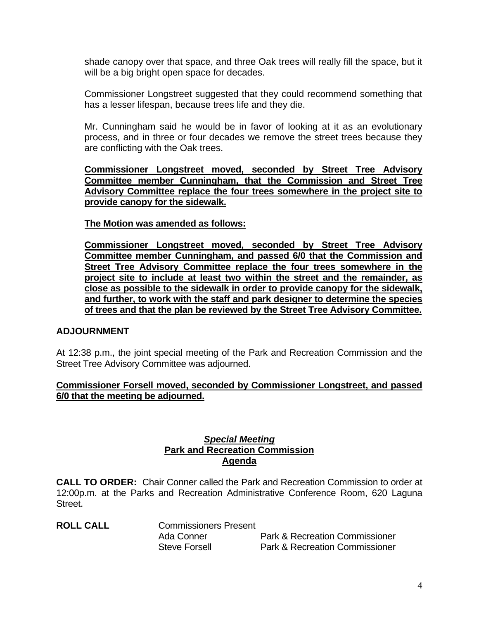shade canopy over that space, and three Oak trees will really fill the space, but it will be a big bright open space for decades.

Commissioner Longstreet suggested that they could recommend something that has a lesser lifespan, because trees life and they die.

Mr. Cunningham said he would be in favor of looking at it as an evolutionary process, and in three or four decades we remove the street trees because they are conflicting with the Oak trees.

**Commissioner Longstreet moved, seconded by Street Tree Advisory Committee member Cunningham, that the Commission and Street Tree Advisory Committee replace the four trees somewhere in the project site to provide canopy for the sidewalk.**

**The Motion was amended as follows:**

**Commissioner Longstreet moved, seconded by Street Tree Advisory Committee member Cunningham, and passed 6/0 that the Commission and Street Tree Advisory Committee replace the four trees somewhere in the project site to include at least two within the street and the remainder, as close as possible to the sidewalk in order to provide canopy for the sidewalk, and further, to work with the staff and park designer to determine the species of trees and that the plan be reviewed by the Street Tree Advisory Committee.**

## **ADJOURNMENT**

At 12:38 p.m., the joint special meeting of the Park and Recreation Commission and the Street Tree Advisory Committee was adjourned.

#### **Commissioner Forsell moved, seconded by Commissioner Longstreet, and passed 6/0 that the meeting be adjourned.**

## *Special Meeting* **Park and Recreation Commission Agenda**

**CALL TO ORDER:** Chair Conner called the Park and Recreation Commission to order at 12:00p.m. at the Parks and Recreation Administrative Conference Room, 620 Laguna Street.

**ROLL CALL** Commissioners Present

 Ada Conner Park & Recreation Commissioner Steve Forsell Park & Recreation Commissioner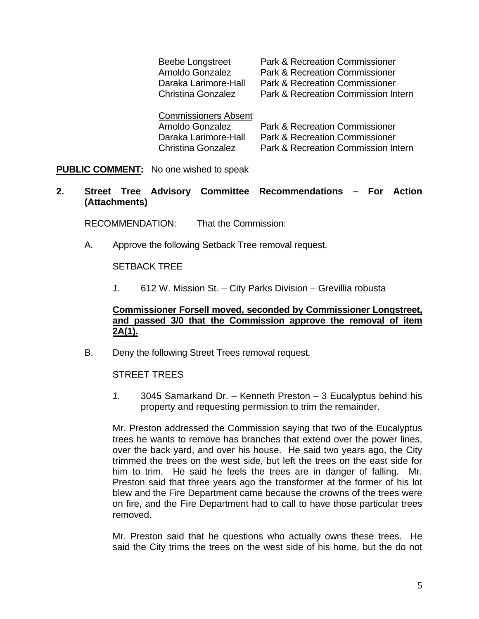| <b>Beebe Longstreet</b>     | <b>Park &amp; Recreation Commissioner</b> |
|-----------------------------|-------------------------------------------|
| Arnoldo Gonzalez            | <b>Park &amp; Recreation Commissioner</b> |
| Daraka Larimore-Hall        | <b>Park &amp; Recreation Commissioner</b> |
| <b>Christina Gonzalez</b>   | Park & Recreation Commission Intern       |
| <b>Commissioners Absent</b> |                                           |
| Arnoldo Gonzalez            | <b>Park &amp; Recreation Commissioner</b> |
| Daraka Larimore-Hall        | <b>Park &amp; Recreation Commissioner</b> |

Christina Gonzalez Park & Recreation Commission Intern

**PUBLIC COMMENT:** No one wished to speak

### **2. Street Tree Advisory Committee Recommendations – For Action (Attachments)**

RECOMMENDATION: That the Commission:

A. Approve the following Setback Tree removal request.

#### SETBACK TREE

*1.* 612 W. Mission St. – City Parks Division – Grevillia robusta

### **Commissioner Forsell moved, seconded by Commissioner Longstreet, and passed 3/0 that the Commission approve the removal of item 2A(1).**

B. Deny the following Street Trees removal request.

#### STREET TREES

*1.* 3045 Samarkand Dr. – Kenneth Preston – 3 Eucalyptus behind his property and requesting permission to trim the remainder.

Mr. Preston addressed the Commission saying that two of the Eucalyptus trees he wants to remove has branches that extend over the power lines, over the back yard, and over his house. He said two years ago, the City trimmed the trees on the west side, but left the trees on the east side for him to trim. He said he feels the trees are in danger of falling. Mr. Preston said that three years ago the transformer at the former of his lot blew and the Fire Department came because the crowns of the trees were on fire, and the Fire Department had to call to have those particular trees removed.

Mr. Preston said that he questions who actually owns these trees. He said the City trims the trees on the west side of his home, but the do not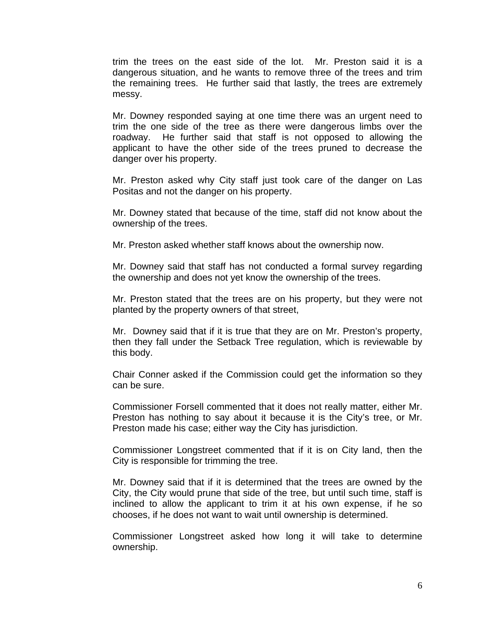trim the trees on the east side of the lot. Mr. Preston said it is a dangerous situation, and he wants to remove three of the trees and trim the remaining trees. He further said that lastly, the trees are extremely messy.

Mr. Downey responded saying at one time there was an urgent need to trim the one side of the tree as there were dangerous limbs over the roadway. He further said that staff is not opposed to allowing the applicant to have the other side of the trees pruned to decrease the danger over his property.

Mr. Preston asked why City staff just took care of the danger on Las Positas and not the danger on his property.

Mr. Downey stated that because of the time, staff did not know about the ownership of the trees.

Mr. Preston asked whether staff knows about the ownership now.

Mr. Downey said that staff has not conducted a formal survey regarding the ownership and does not yet know the ownership of the trees.

Mr. Preston stated that the trees are on his property, but they were not planted by the property owners of that street,

Mr. Downey said that if it is true that they are on Mr. Preston's property, then they fall under the Setback Tree regulation, which is reviewable by this body.

Chair Conner asked if the Commission could get the information so they can be sure.

Commissioner Forsell commented that it does not really matter, either Mr. Preston has nothing to say about it because it is the City's tree, or Mr. Preston made his case; either way the City has jurisdiction.

Commissioner Longstreet commented that if it is on City land, then the City is responsible for trimming the tree.

Mr. Downey said that if it is determined that the trees are owned by the City, the City would prune that side of the tree, but until such time, staff is inclined to allow the applicant to trim it at his own expense, if he so chooses, if he does not want to wait until ownership is determined.

Commissioner Longstreet asked how long it will take to determine ownership.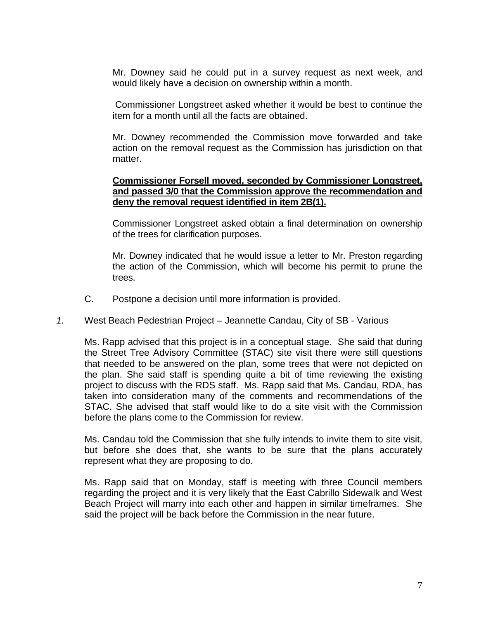Mr. Downey said he could put in a survey request as next week, and would likely have a decision on ownership within a month.

 Commissioner Longstreet asked whether it would be best to continue the item for a month until all the facts are obtained.

Mr. Downey recommended the Commission move forwarded and take action on the removal request as the Commission has jurisdiction on that matter.

## **Commissioner Forsell moved, seconded by Commissioner Longstreet, and passed 3/0 that the Commission approve the recommendation and deny the removal request identified in item 2B(1).**

Commissioner Longstreet asked obtain a final determination on ownership of the trees for clarification purposes.

Mr. Downey indicated that he would issue a letter to Mr. Preston regarding the action of the Commission, which will become his permit to prune the trees.

C. Postpone a decision until more information is provided.

## *1.* West Beach Pedestrian Project – Jeannette Candau, City of SB - Various

Ms. Rapp advised that this project is in a conceptual stage. She said that during the Street Tree Advisory Committee (STAC) site visit there were still questions that needed to be answered on the plan, some trees that were not depicted on the plan. She said staff is spending quite a bit of time reviewing the existing project to discuss with the RDS staff. Ms. Rapp said that Ms. Candau, RDA, has taken into consideration many of the comments and recommendations of the STAC. She advised that staff would like to do a site visit with the Commission before the plans come to the Commission for review.

Ms. Candau told the Commission that she fully intends to invite them to site visit, but before she does that, she wants to be sure that the plans accurately represent what they are proposing to do.

Ms. Rapp said that on Monday, staff is meeting with three Council members regarding the project and it is very likely that the East Cabrillo Sidewalk and West Beach Project will marry into each other and happen in similar timeframes. She said the project will be back before the Commission in the near future.